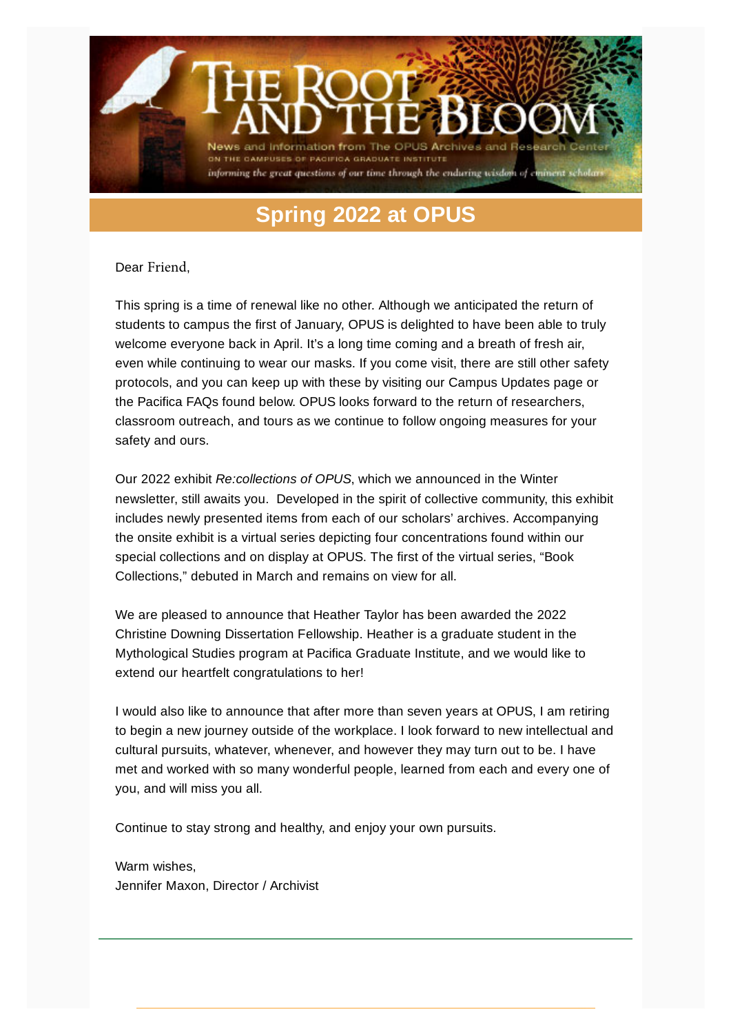

## **Spring 2022 at OPUS**

Dear Friend,

This spring is a time of renewal like no other. Although we anticipated the return of students to campus the first of January, OPUS is delighted to have been able to truly welcome everyone back in April. It's a long time coming and a breath of fresh air, even while continuing to wear our masks. If you come visit, there are still other safety protocols, and you can keep up with these by visiting our Campus Updates page or the Pacifica FAQs found below. OPUS looks forward to the return of researchers, classroom outreach, and tours as we continue to follow ongoing measures for your safety and ours.

Our 2022 exhibit *Re:collections of OPUS*, which we announced in the Winter newsletter, still awaits you. Developed in the spirit of collective community, this exhibit includes newly presented items from each of our scholars' archives. Accompanying the onsite exhibit is a virtual series depicting four concentrations found within our special collections and on display at OPUS. The first of the virtual series, "Book Collections," debuted in March and remains on view for all.

We are pleased to announce that Heather Taylor has been awarded the 2022 Christine Downing Dissertation Fellowship. Heather is a graduate student in the Mythological Studies program at Pacifica Graduate Institute, and we would like to extend our heartfelt congratulations to her!

I would also like to announce that after more than seven years at OPUS, I am retiring to begin a new journey outside of the workplace. I look forward to new intellectual and cultural pursuits, whatever, whenever, and however they may turn out to be. I have met and worked with so many wonderful people, learned from each and every one of you, and will miss you all.

Continue to stay strong and healthy, and enjoy your own pursuits.

Warm wishes, Jennifer Maxon, Director / Archivist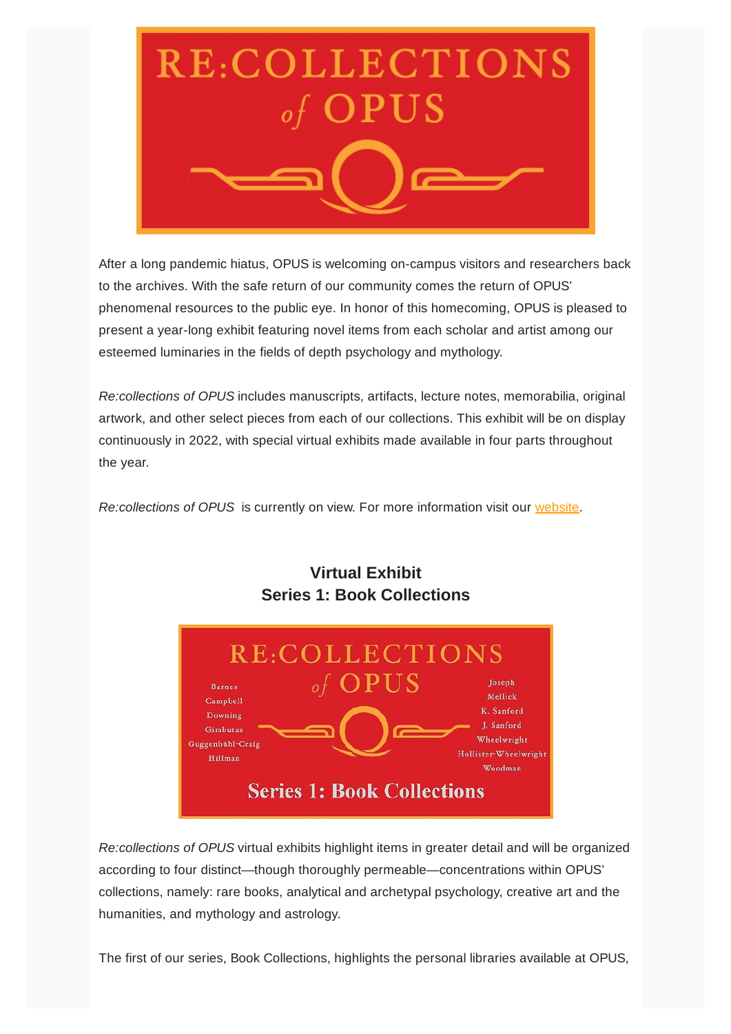

After a long pandemic hiatus, OPUS is welcoming on-campus visitors and researchers back to the archives. With the safe return of our community comes the return of OPUS' phenomenal resources to the public eye. In honor of this homecoming, OPUS is pleased to present a year-long exhibit featuring novel items from each scholar and artist among our esteemed luminaries in the fields of depth psychology and mythology.

*Re:collections of OPUS* includes manuscripts, artifacts, lecture notes, memorabilia, original artwork, and other select pieces from each of our collections. This exhibit will be on display continuously in 2022, with special virtual exhibits made available in four parts throughout the year.

*Re:collections of OPUS* is currently on view. For more information visit our [website](https://www.opusarchives.org/exhibits/).



### **Virtual Exhibit Series 1: Book Collections**

*Re:collections of OPUS* virtual exhibits highlight items in greater detail and will be organized according to four distinct—though thoroughly permeable—concentrations within OPUS' collections, namely: rare books, analytical and archetypal psychology, creative art and the humanities, and mythology and astrology.

The first of our series, Book Collections, highlights the personal libraries available at OPUS,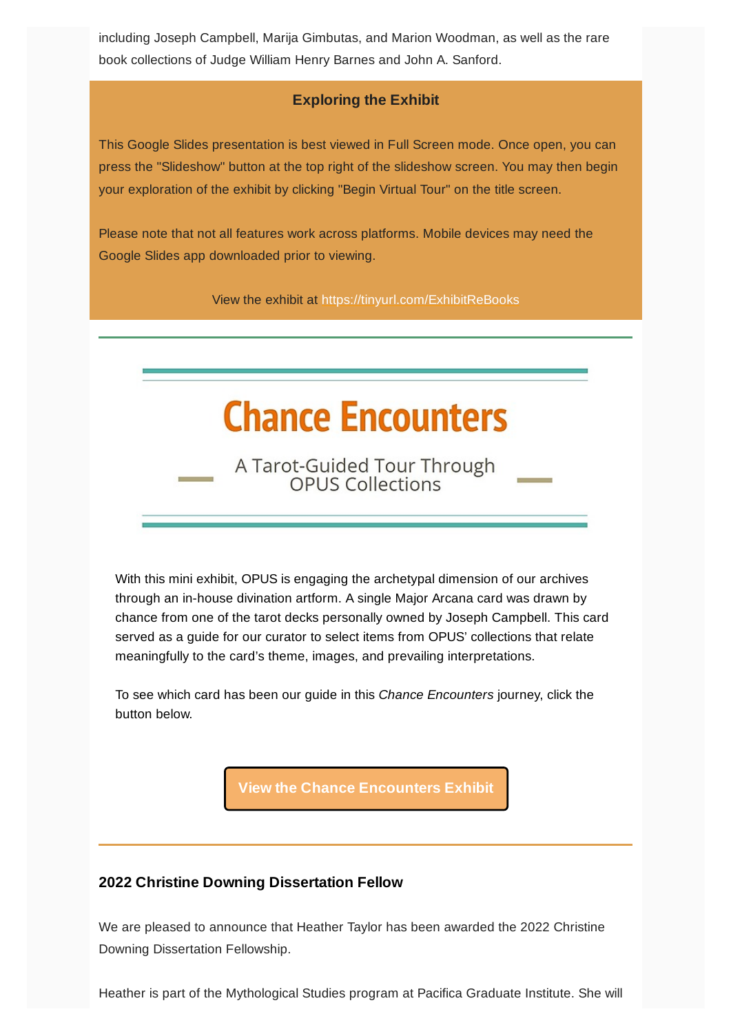including Joseph Campbell, Marija Gimbutas, and Marion Woodman, as well as the rare book collections of Judge William Henry Barnes and John A. Sanford.

#### **Exploring the Exhibit**

This Google Slides presentation is best viewed in Full Screen mode. Once open, you can press the "Slideshow" button at the top right of the slideshow screen. You may then begin your exploration of the exhibit by clicking "Begin Virtual Tour" on the title screen.

Please note that not all features work across platforms. Mobile devices may need the Google Slides app downloaded prior to viewing.

View the exhibit at <https://tinyurl.com/ExhibitReBooks>

# **Chance Encounters**

A Tarot-Guided Tour Through<br>OPUS Collections

With this mini exhibit, OPUS is engaging the archetypal dimension of our archives through an in-house divination artform. A single Major Arcana card was drawn by chance from one of the tarot decks personally owned by Joseph Campbell. This card served as a guide for our curator to select items from OPUS' collections that relate meaningfully to the card's theme, images, and prevailing interpretations.

To see which card has been our guide in this *Chance Encounters* journey, click the button below.

**View the Chance [Encounters](https://tinyurl.com/EncountersFool) Exhibit**

#### **2022 Christine Downing Dissertation Fellow**

We are pleased to announce that Heather Taylor has been awarded the 2022 Christine Downing Dissertation Fellowship.

Heather is part of the Mythological Studies program at Pacifica Graduate Institute. She will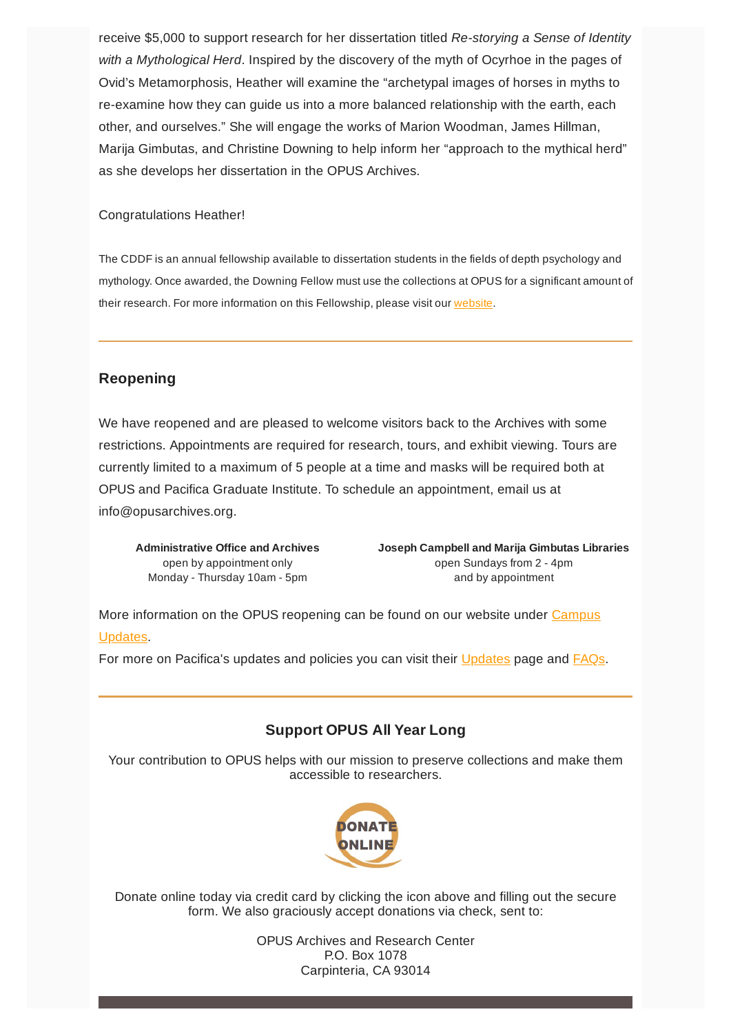receive \$5,000 to support research for her dissertation titled *Re-storying a Sense of Identity with a Mythological Herd*. Inspired by the discovery of the myth of Ocyrhoe in the pages of Ovid's Metamorphosis, Heather will examine the "archetypal images of horses in myths to re-examine how they can guide us into a more balanced relationship with the earth, each other, and ourselves." She will engage the works of Marion Woodman, James Hillman, Marija Gimbutas, and Christine Downing to help inform her "approach to the mythical herd" as she develops her dissertation in the OPUS Archives.

#### Congratulations Heather!

The CDDF is an annual fellowship available to dissertation students in the fields of depth psychology and mythology. Once awarded, the Downing Fellow must use the collections at OPUS for a significant amount of their research. For more information on this Fellowship, please visit our [website](https://www.opusarchives.org/fellowship/).

#### **Reopening**

We have reopened and are pleased to welcome visitors back to the Archives with some restrictions. Appointments are required for research, tours, and exhibit viewing. Tours are currently limited to a maximum of 5 people at a time and masks will be required both at OPUS and Pacifica Graduate Institute. To schedule an appointment, email us at info@opusarchives.org.

**Administrative Office and Archives** open by appointment only Monday - Thursday 10am - 5pm

**Joseph Campbell and Marija Gimbutas Libraries** open Sundays from 2 - 4pm and by appointment

More [information](https://www.opusarchives.org/campus-updates/) on the OPUS reopening can be found on our website under Campus Updates.

For more on Pacifica's updates and policies you can visit their [Updates](https://www.pacifica.edu/campus-update/) page and [FAQs](https://www.pacifica.edu/campus-update/spring-reopening-faqs/).

#### **Support OPUS All Year Long**

Your contribution to OPUS helps with our mission to preserve collections and make them accessible to researchers.



Donate online today via credit card by clicking the icon above and filling out the secure form. We also graciously accept donations via check, sent to:

> OPUS Archives and Research Center P.O. Box 1078 Carpinteria, CA 93014